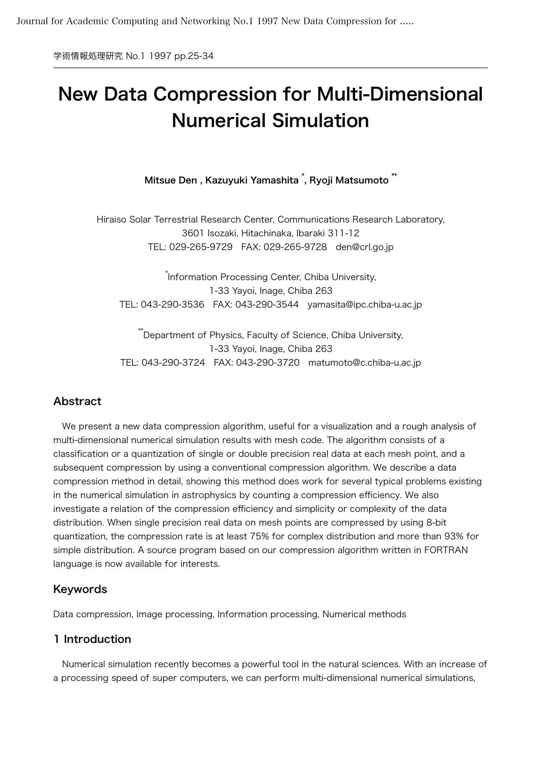学術情報処理研究 No.1 1997 pp.25-34

# New Data Compression for Multi-Dimensional Numerical Simulation

Mitsue Den , Kazuyuki Yamashita \* , Ryoji Matsumoto \*\*

Hiraiso Solar Terrestrial Research Center, Communications Research Laboratory, 3601 Isozaki, Hitachinaka, Ibaraki 311-12 TEL: 029-265-9729 FAX: 029-265-9728 den@crl.go.jp

\* Information Processing Center, Chiba University, 1-33 Yayoi, Inage, Chiba 263 TEL: 043-290-3536 FAX: 043-290-3544 yamasita@ipc.chiba-u.ac.jp

\*\*Department of Physics, Faculty of Science, Chiba University, 1-33 Yayoi, Inage, Chiba 263 TEL: 043-290-3724 FAX: 043-290-3720 matumoto@c.chiba-u.ac.jp

# Abstract

 We present a new data compression algorithm, useful for a visualization and a rough analysis of multi-dimensional numerical simulation results with mesh code. The algorithm consists of a classification or a quantization of single or double precision real data at each mesh point, and a subsequent compression by using a conventional compression algorithm. We describe a data compression method in detail, showing this method does work for several typical problems existing in the numerical simulation in astrophysics by counting a compression efficiency. We also investigate a relation of the compression efficiency and simplicity or complexity of the data distribution. When single precision real data on mesh points are compressed by using 8-bit quantization, the compression rate is at least 75% for complex distribution and more than 93% for simple distribution. A source program based on our compression algorithm written in FORTRAN language is now available for interests.

# Keywords

Data compression, Image processing, Information processing, Numerical methods

## 1 Introduction

 Numerical simulation recently becomes a powerful tool in the natural sciences. With an increase of a processing speed of super computers, we can perform multi-dimensional numerical simulations,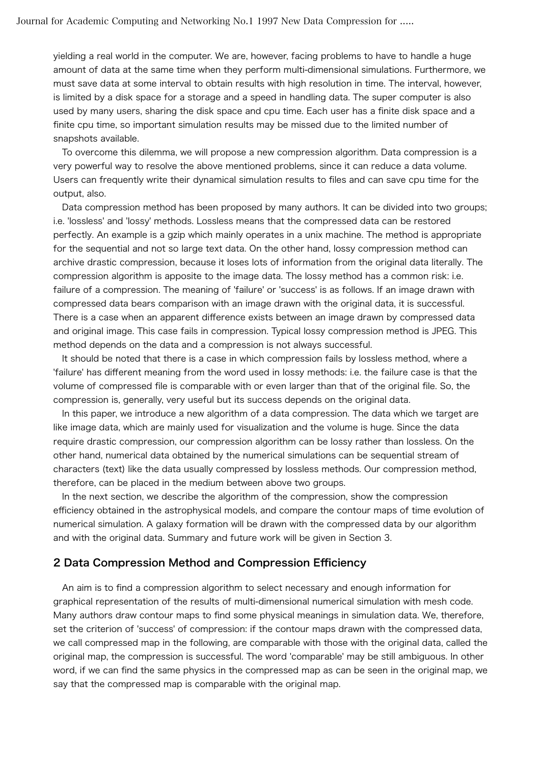yielding a real world in the computer. We are, however, facing problems to have to handle a huge amount of data at the same time when they perform multi-dimensional simulations. Furthermore, we must save data at some interval to obtain results with high resolution in time. The interval, however, is limited by a disk space for a storage and a speed in handling data. The super computer is also used by many users, sharing the disk space and cpu time. Each user has a finite disk space and a finite cpu time, so important simulation results may be missed due to the limited number of snapshots available.

 To overcome this dilemma, we will propose a new compression algorithm. Data compression is a very powerful way to resolve the above mentioned problems, since it can reduce a data volume. Users can frequently write their dynamical simulation results to files and can save cpu time for the output, also.

 Data compression method has been proposed by many authors. It can be divided into two groups; i.e. 'lossless' and 'lossy' methods. Lossless means that the compressed data can be restored perfectly. An example is a gzip which mainly operates in a unix machine. The method is appropriate for the sequential and not so large text data. On the other hand, lossy compression method can archive drastic compression, because it loses lots of information from the original data literally. The compression algorithm is apposite to the image data. The lossy method has a common risk: i.e. failure of a compression. The meaning of 'failure' or 'success' is as follows. If an image drawn with compressed data bears comparison with an image drawn with the original data, it is successful. There is a case when an apparent difference exists between an image drawn by compressed data and original image. This case fails in compression. Typical lossy compression method is JPEG. This method depends on the data and a compression is not always successful.

 It should be noted that there is a case in which compression fails by lossless method, where a 'failure' has different meaning from the word used in lossy methods: i.e. the failure case is that the volume of compressed file is comparable with or even larger than that of the original file. So, the compression is, generally, very useful but its success depends on the original data.

 In this paper, we introduce a new algorithm of a data compression. The data which we target are like image data, which are mainly used for visualization and the volume is huge. Since the data require drastic compression, our compression algorithm can be lossy rather than lossless. On the other hand, numerical data obtained by the numerical simulations can be sequential stream of characters (text) like the data usually compressed by lossless methods. Our compression method, therefore, can be placed in the medium between above two groups.

 In the next section, we describe the algorithm of the compression, show the compression efficiency obtained in the astrophysical models, and compare the contour maps of time evolution of numerical simulation. A galaxy formation will be drawn with the compressed data by our algorithm and with the original data. Summary and future work will be given in Section 3.

#### 2 Data Compression Method and Compression Efficiency

 An aim is to find a compression algorithm to select necessary and enough information for graphical representation of the results of multi-dimensional numerical simulation with mesh code. Many authors draw contour maps to find some physical meanings in simulation data. We, therefore, set the criterion of 'success' of compression: if the contour maps drawn with the compressed data, we call compressed map in the following, are comparable with those with the original data, called the original map, the compression is successful. The word 'comparable' may be still ambiguous. In other word, if we can find the same physics in the compressed map as can be seen in the original map, we say that the compressed map is comparable with the original map.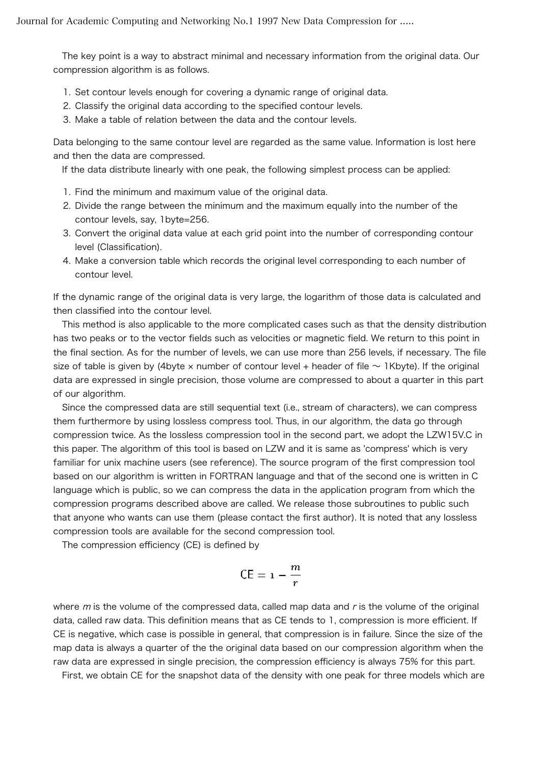The key point is a way to abstract minimal and necessary information from the original data. Our compression algorithm is as follows.

- 1. Set contour levels enough for covering a dynamic range of original data.
- 2. Classify the original data according to the specified contour levels.
- 3. Make a table of relation between the data and the contour levels.

Data belonging to the same contour level are regarded as the same value. Information is lost here and then the data are compressed.

If the data distribute linearly with one peak, the following simplest process can be applied:

- 1. Find the minimum and maximum value of the original data.
- 2. Divide the range between the minimum and the maximum equally into the number of the contour levels, say, 1byte=256.
- 3. Convert the original data value at each grid point into the number of corresponding contour level (Classification).
- 4. Make a conversion table which records the original level corresponding to each number of contour level.

If the dynamic range of the original data is very large, the logarithm of those data is calculated and then classified into the contour level.

 This method is also applicable to the more complicated cases such as that the density distribution has two peaks or to the vector fields such as velocities or magnetic field. We return to this point in the final section. As for the number of levels, we can use more than 256 levels, if necessary. The file size of table is given by (4byte  $\times$  number of contour level + header of file  $\sim$  1Kbyte). If the original data are expressed in single precision, those volume are compressed to about a quarter in this part of our algorithm.

 Since the compressed data are still sequential text (i.e., stream of characters), we can compress them furthermore by using lossless compress tool. Thus, in our algorithm, the data go through compression twice. As the lossless compression tool in the second part, we adopt the LZW15V.C in this paper. The algorithm of this tool is based on LZW and it is same as 'compress' which is very familiar for unix machine users (see reference). The source program of the first compression tool based on our algorithm is written in FORTRAN language and that of the second one is written in C language which is public, so we can compress the data in the application program from which the compression programs described above are called. We release those subroutines to public such that anyone who wants can use them (please contact the first author). It is noted that any lossless compression tools are available for the second compression tool.

The compression efficiency (CE) is defined by

$$
\mathsf{CE} = \mathsf{1} - \frac{m}{r}
$$

where  $m$  is the volume of the compressed data, called map data and  $r$  is the volume of the original data, called raw data. This definition means that as CE tends to 1, compression is more efficient. If CE is negative, which case is possible in general, that compression is in failure. Since the size of the map data is always a quarter of the the original data based on our compression algorithm when the raw data are expressed in single precision, the compression efficiency is always 75% for this part.

First, we obtain CE for the snapshot data of the density with one peak for three models which are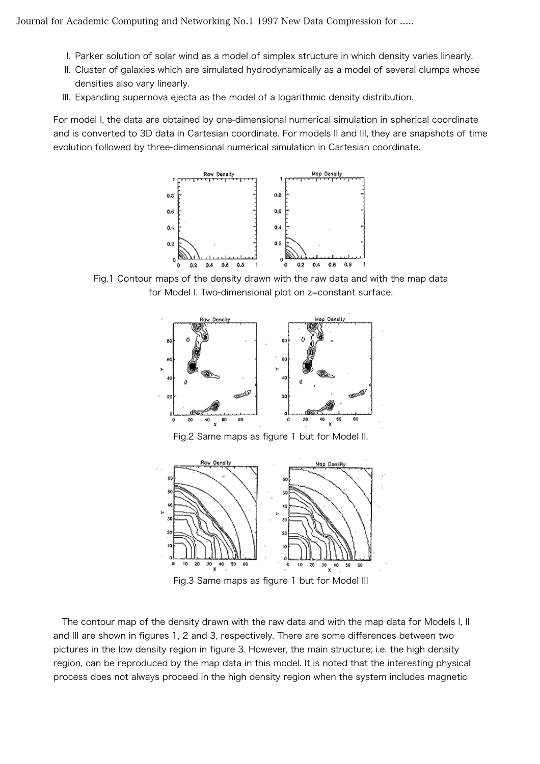- I. Parker solution of solar wind as a model of simplex structure in which density varies linearly.
- II. Cluster of galaxies which are simulated hydrodynamically as a model of several clumps whose densities also vary linearly.
- III. Expanding supernova ejecta as the model of a logarithmic density distribution.

For model I, the data are obtained by one-dimensional numerical simulation in spherical coordinate and is converted to 3D data in Cartesian coordinate. For models II and III, they are snapshots of time evolution followed by three-dimensional numerical simulation in Cartesian coordinate.



Fig.1 Contour maps of the density drawn with the raw data and with the map data for Model I. Two-dimensional plot on z=constant surface.



Fig.2 Same maps as figure 1 but for Model II.



Fig.3 Same maps as figure 1 but for Model III

 The contour map of the density drawn with the raw data and with the map data for Models I, II and III are shown in figures 1, 2 and 3, respectively. There are some differences between two pictures in the low density region in figure 3. However, the main structure; i.e. the high density region, can be reproduced by the map data in this model. It is noted that the interesting physical process does not always proceed in the high density region when the system includes magnetic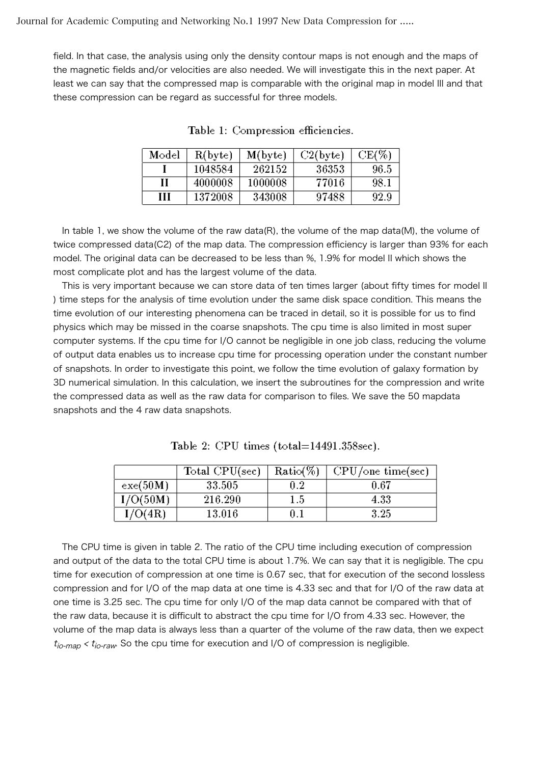field. In that case, the analysis using only the density contour maps is not enough and the maps of the magnetic fields and/or velocities are also needed. We will investigate this in the next paper. At least we can say that the compressed map is comparable with the original map in model III and that these compression can be regard as successful for three models.

| Model | R(byte) | $M$ (byte) | $C2$ (byte) | $CE(\%)$ |
|-------|---------|------------|-------------|----------|
|       | 1048584 | 262152     | 36353       | 96.5     |
| Н     | 4000008 | 1000008    | 77016       | 98.1     |
| Ш     | 1372008 | 343008     | 97488       | 92.9     |

Table 1: Compression efficiencies.

 In table 1, we show the volume of the raw data(R), the volume of the map data(M), the volume of twice compressed data(C2) of the map data. The compression efficiency is larger than 93% for each model. The original data can be decreased to be less than %, 1.9% for model II which shows the most complicate plot and has the largest volume of the data.

 This is very important because we can store data of ten times larger (about fifty times for model II ) time steps for the analysis of time evolution under the same disk space condition. This means the time evolution of our interesting phenomena can be traced in detail, so it is possible for us to find physics which may be missed in the coarse snapshots. The cpu time is also limited in most super computer systems. If the cpu time for I/O cannot be negligible in one job class, reducing the volume of output data enables us to increase cpu time for processing operation under the constant number of snapshots. In order to investigate this point, we follow the time evolution of galaxy formation by 3D numerical simulation. In this calculation, we insert the subroutines for the compression and write the compressed data as well as the raw data for comparison to files. We save the 50 mapdata snapshots and the 4 raw data snapshots.

|                | Total $CPU(sec)$ | $Ratio(\%)$ | $CPU$ /one time(sec) |
|----------------|------------------|-------------|----------------------|
| exe(50M)       | 33.505           | $0.2\,$     | $\rm 0.67$           |
| $\rm I/O(50M)$ | 216.290          | $1.5\,$     | 4.33                 |
| $\rm I/O(4R)$  | $13.016\,$       | $0.1\,$     | 3.25                 |

Table 2: CPU times  $(total=14491.358sec)$ .

 The CPU time is given in table 2. The ratio of the CPU time including execution of compression and output of the data to the total CPU time is about 1.7%. We can say that it is negligible. The cpu time for execution of compression at one time is 0.67 sec, that for execution of the second lossless compression and for I/O of the map data at one time is 4.33 sec and that for I/O of the raw data at one time is 3.25 sec. The cpu time for only I/O of the map data cannot be compared with that of the raw data, because it is difficult to abstract the cpu time for I/O from 4.33 sec. However, the volume of the map data is always less than a quarter of the volume of the raw data, then we expect  $t_{io-man} < t_{io-raw}$ . So the cpu time for execution and I/O of compression is negligible.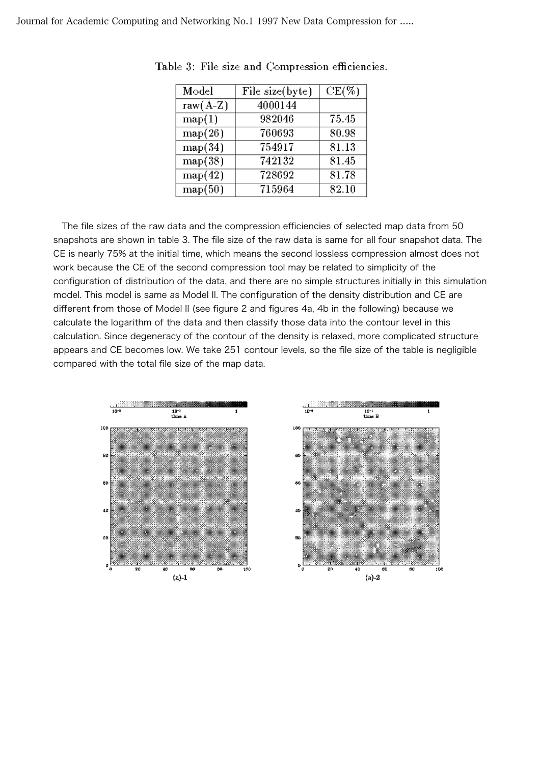| Model       | File size(byte) | $CE(\%)$ |
|-------------|-----------------|----------|
| raw $(A-Z)$ | 4000144         |          |
| map(1)      | 982046          | 75.45    |
| map(26)     | 760693          | 80.98    |
| map(34)     | 754917          | 81.13    |
| map(38)     | 742132          | 81.45    |
| map(42)     | 728692          | 81.78    |
| map(50)     | 715964          | 82.10    |

Table 3: File size and Compression efficiencies.

 The file sizes of the raw data and the compression efficiencies of selected map data from 50 snapshots are shown in table 3. The file size of the raw data is same for all four snapshot data. The CE is nearly 75% at the initial time, which means the second lossless compression almost does not work because the CE of the second compression tool may be related to simplicity of the configuration of distribution of the data, and there are no simple structures initially in this simulation model. This model is same as Model II. The configuration of the density distribution and CE are different from those of Model II (see figure 2 and figures 4a, 4b in the following) because we calculate the logarithm of the data and then classify those data into the contour level in this calculation. Since degeneracy of the contour of the density is relaxed, more complicated structure appears and CE becomes low. We take 251 contour levels, so the file size of the table is negligible compared with the total file size of the map data.

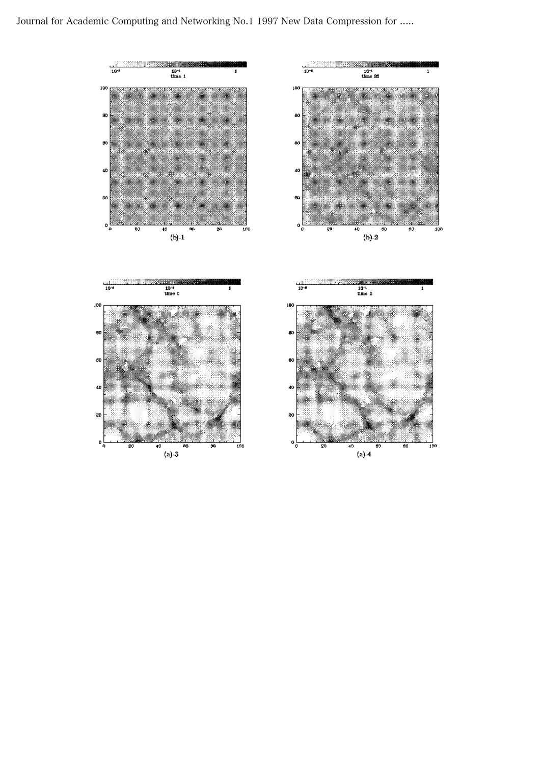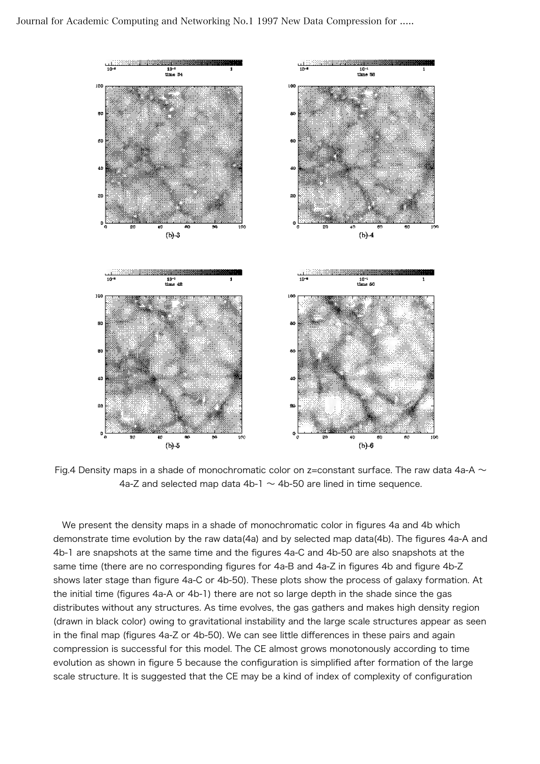

Fig.4 Density maps in a shade of monochromatic color on z=constant surface. The raw data 4a-A  $\sim$ 4a-Z and selected map data 4b-1  $\sim$  4b-50 are lined in time sequence.

 We present the density maps in a shade of monochromatic color in figures 4a and 4b which demonstrate time evolution by the raw data(4a) and by selected map data(4b). The figures 4a-A and 4b-1 are snapshots at the same time and the figures 4a-C and 4b-50 are also snapshots at the same time (there are no corresponding figures for 4a-B and 4a-Z in figures 4b and figure 4b-Z shows later stage than figure 4a-C or 4b-50). These plots show the process of galaxy formation. At the initial time (figures 4a-A or 4b-1) there are not so large depth in the shade since the gas distributes without any structures. As time evolves, the gas gathers and makes high density region (drawn in black color) owing to gravitational instability and the large scale structures appear as seen in the final map (figures 4a-Z or 4b-50). We can see little differences in these pairs and again compression is successful for this model. The CE almost grows monotonously according to time evolution as shown in figure 5 because the configuration is simplified after formation of the large scale structure. It is suggested that the CE may be a kind of index of complexity of configuration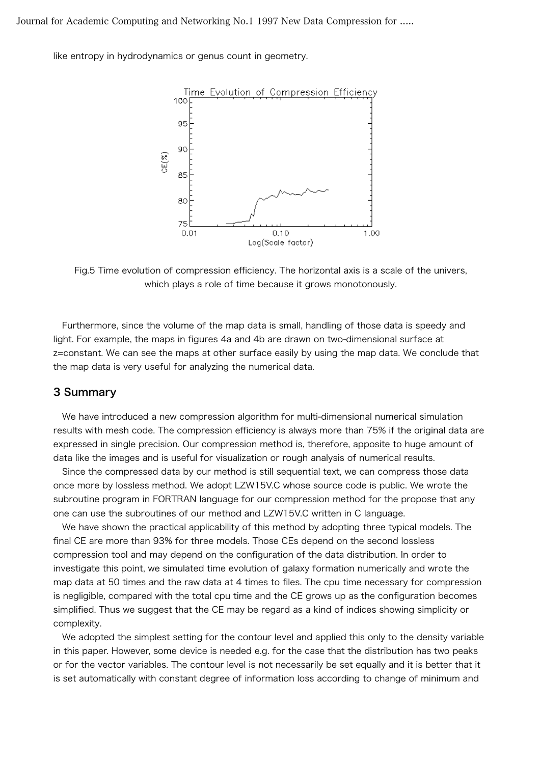Journal for Academic Computing and Networking No.1 1997 New Data Compression for .....

like entropy in hydrodynamics or genus count in geometry.



Fig.5 Time evolution of compression efficiency. The horizontal axis is a scale of the univers, which plays a role of time because it grows monotonously.

 Furthermore, since the volume of the map data is small, handling of those data is speedy and light. For example, the maps in figures 4a and 4b are drawn on two-dimensional surface at z=constant. We can see the maps at other surface easily by using the map data. We conclude that the map data is very useful for analyzing the numerical data.

### 3 Summary

 We have introduced a new compression algorithm for multi-dimensional numerical simulation results with mesh code. The compression efficiency is always more than 75% if the original data are expressed in single precision. Our compression method is, therefore, apposite to huge amount of data like the images and is useful for visualization or rough analysis of numerical results.

 Since the compressed data by our method is still sequential text, we can compress those data once more by lossless method. We adopt LZW15V.C whose source code is public. We wrote the subroutine program in FORTRAN language for our compression method for the propose that any one can use the subroutines of our method and LZW15V.C written in C language.

We have shown the practical applicability of this method by adopting three typical models. The final CE are more than 93% for three models. Those CEs depend on the second lossless compression tool and may depend on the configuration of the data distribution. In order to investigate this point, we simulated time evolution of galaxy formation numerically and wrote the map data at 50 times and the raw data at 4 times to files. The cpu time necessary for compression is negligible, compared with the total cpu time and the CE grows up as the configuration becomes simplified. Thus we suggest that the CE may be regard as a kind of indices showing simplicity or complexity.

We adopted the simplest setting for the contour level and applied this only to the density variable in this paper. However, some device is needed e.g. for the case that the distribution has two peaks or for the vector variables. The contour level is not necessarily be set equally and it is better that it is set automatically with constant degree of information loss according to change of minimum and